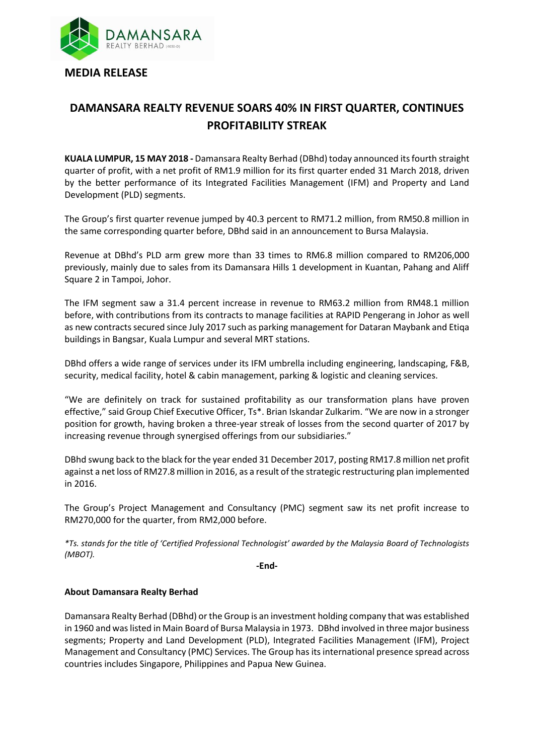

## **DAMANSARA REALTY REVENUE SOARS 40% IN FIRST QUARTER, CONTINUES PROFITABILITY STREAK**

**KUALA LUMPUR, 15 MAY 2018 -** Damansara Realty Berhad (DBhd) today announced its fourth straight quarter of profit, with a net profit of RM1.9 million for its first quarter ended 31 March 2018, driven by the better performance of its Integrated Facilities Management (IFM) and Property and Land Development (PLD) segments.

The Group's first quarter revenue jumped by 40.3 percent to RM71.2 million, from RM50.8 million in the same corresponding quarter before, DBhd said in an announcement to Bursa Malaysia.

Revenue at DBhd's PLD arm grew more than 33 times to RM6.8 million compared to RM206,000 previously, mainly due to sales from its Damansara Hills 1 development in Kuantan, Pahang and Aliff Square 2 in Tampoi, Johor.

The IFM segment saw a 31.4 percent increase in revenue to RM63.2 million from RM48.1 million before, with contributions from its contracts to manage facilities at RAPID Pengerang in Johor as well as new contracts secured since July 2017 such as parking management for Dataran Maybank and Etiqa buildings in Bangsar, Kuala Lumpur and several MRT stations.

DBhd offers a wide range of services under its IFM umbrella including engineering, landscaping, F&B, security, medical facility, hotel & cabin management, parking & logistic and cleaning services.

"We are definitely on track for sustained profitability as our transformation plans have proven effective," said Group Chief Executive Officer, Ts\*. Brian Iskandar Zulkarim. "We are now in a stronger position for growth, having broken a three-year streak of losses from the second quarter of 2017 by increasing revenue through synergised offerings from our subsidiaries."

DBhd swung back to the black for the year ended 31 December 2017, posting RM17.8 million net profit against a net loss of RM27.8 million in 2016, as a result of the strategic restructuring plan implemented in 2016.

The Group's Project Management and Consultancy (PMC) segment saw its net profit increase to RM270,000 for the quarter, from RM2,000 before.

*\*Ts. stands for the title of 'Certified Professional Technologist' awarded by the Malaysia Board of Technologists (MBOT).*

**-End-**

## **About Damansara Realty Berhad**

Damansara Realty Berhad (DBhd) or the Group is an investment holding company that was established in 1960 and was listed in Main Board of Bursa Malaysia in 1973. DBhd involved in three major business segments; Property and Land Development (PLD), Integrated Facilities Management (IFM), Project Management and Consultancy (PMC) Services. The Group has its international presence spread across countries includes Singapore, Philippines and Papua New Guinea.